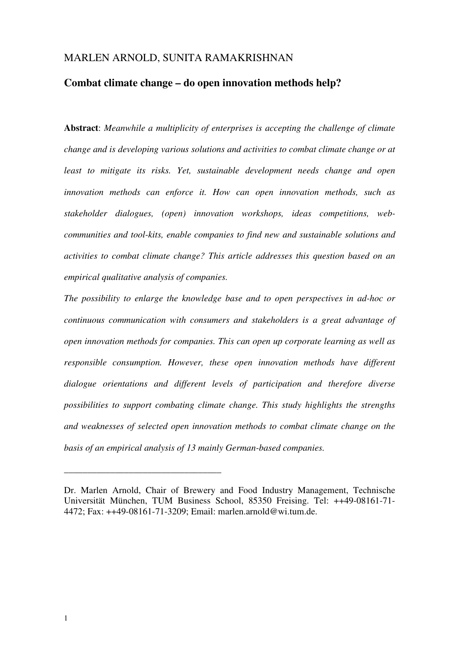# MARLEN ARNOLD, SUNITA RAMAKRISHNAN

# **Combat climate change – do open innovation methods help?**

**Abstract**: *Meanwhile a multiplicity of enterprises is accepting the challenge of climate change and is developing various solutions and activities to combat climate change or at least to mitigate its risks. Yet, sustainable development needs change and open innovation methods can enforce it. How can open innovation methods, such as stakeholder dialogues, (open) innovation workshops, ideas competitions, webcommunities and tool-kits, enable companies to find new and sustainable solutions and activities to combat climate change? This article addresses this question based on an empirical qualitative analysis of companies.* 

*The possibility to enlarge the knowledge base and to open perspectives in ad-hoc or continuous communication with consumers and stakeholders is a great advantage of open innovation methods for companies. This can open up corporate learning as well as responsible consumption. However, these open innovation methods have different dialogue orientations and different levels of participation and therefore diverse possibilities to support combating climate change. This study highlights the strengths and weaknesses of selected open innovation methods to combat climate change on the basis of an empirical analysis of 13 mainly German-based companies.*

\_\_\_\_\_\_\_\_\_\_\_\_\_\_\_\_\_\_\_\_\_\_\_\_\_\_\_\_\_\_\_\_\_\_

Dr. Marlen Arnold, Chair of Brewery and Food Industry Management, Technische Universität München, TUM Business School, 85350 Freising. Tel: ++49-08161-71- 4472; Fax: ++49-08161-71-3209; Email: marlen.arnold@wi.tum.de.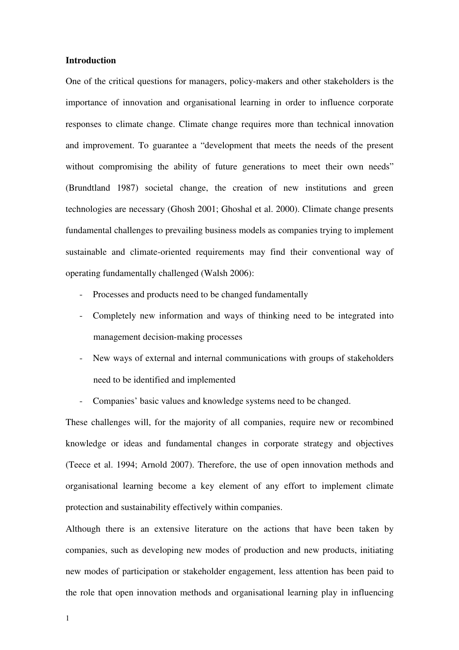### **Introduction**

One of the critical questions for managers, policy-makers and other stakeholders is the importance of innovation and organisational learning in order to influence corporate responses to climate change. Climate change requires more than technical innovation and improvement. To guarantee a "development that meets the needs of the present without compromising the ability of future generations to meet their own needs" (Brundtland 1987) societal change, the creation of new institutions and green technologies are necessary (Ghosh 2001; Ghoshal et al. 2000). Climate change presents fundamental challenges to prevailing business models as companies trying to implement sustainable and climate-oriented requirements may find their conventional way of operating fundamentally challenged (Walsh 2006):

- Processes and products need to be changed fundamentally
- Completely new information and ways of thinking need to be integrated into management decision-making processes
- New ways of external and internal communications with groups of stakeholders need to be identified and implemented
- Companies' basic values and knowledge systems need to be changed.

These challenges will, for the majority of all companies, require new or recombined knowledge or ideas and fundamental changes in corporate strategy and objectives (Teece et al. 1994; Arnold 2007). Therefore, the use of open innovation methods and organisational learning become a key element of any effort to implement climate protection and sustainability effectively within companies.

Although there is an extensive literature on the actions that have been taken by companies, such as developing new modes of production and new products, initiating new modes of participation or stakeholder engagement, less attention has been paid to the role that open innovation methods and organisational learning play in influencing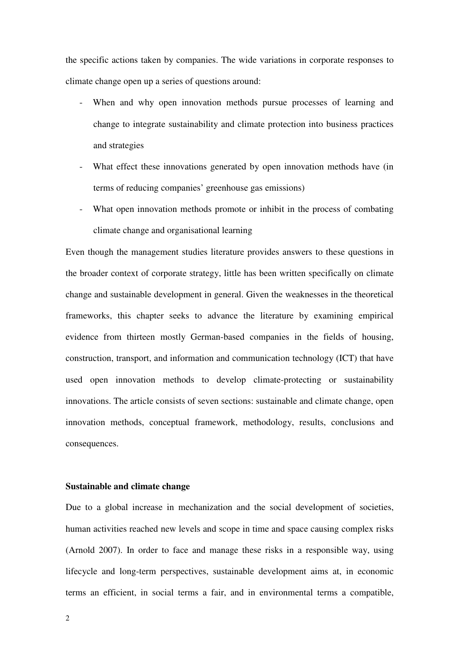the specific actions taken by companies. The wide variations in corporate responses to climate change open up a series of questions around:

- When and why open innovation methods pursue processes of learning and change to integrate sustainability and climate protection into business practices and strategies
- What effect these innovations generated by open innovation methods have (in terms of reducing companies' greenhouse gas emissions)
- What open innovation methods promote or inhibit in the process of combating climate change and organisational learning

Even though the management studies literature provides answers to these questions in the broader context of corporate strategy, little has been written specifically on climate change and sustainable development in general. Given the weaknesses in the theoretical frameworks, this chapter seeks to advance the literature by examining empirical evidence from thirteen mostly German-based companies in the fields of housing, construction, transport, and information and communication technology (ICT) that have used open innovation methods to develop climate-protecting or sustainability innovations. The article consists of seven sections: sustainable and climate change, open innovation methods, conceptual framework, methodology, results, conclusions and consequences.

## **Sustainable and climate change**

Due to a global increase in mechanization and the social development of societies, human activities reached new levels and scope in time and space causing complex risks (Arnold 2007). In order to face and manage these risks in a responsible way, using lifecycle and long-term perspectives, sustainable development aims at, in economic terms an efficient, in social terms a fair, and in environmental terms a compatible,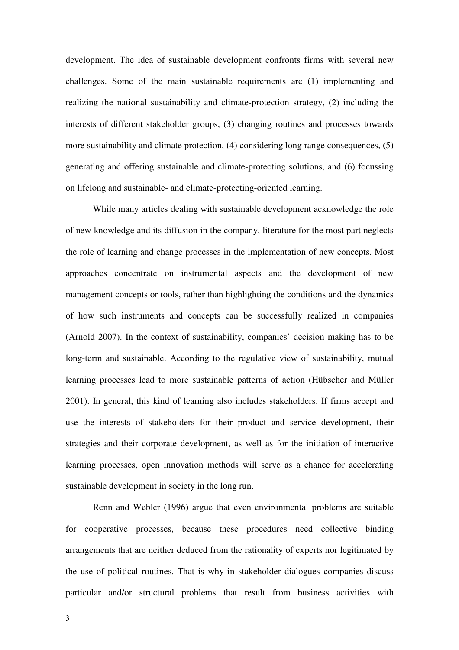development. The idea of sustainable development confronts firms with several new challenges. Some of the main sustainable requirements are (1) implementing and realizing the national sustainability and climate-protection strategy, (2) including the interests of different stakeholder groups, (3) changing routines and processes towards more sustainability and climate protection, (4) considering long range consequences, (5) generating and offering sustainable and climate-protecting solutions, and (6) focussing on lifelong and sustainable- and climate-protecting-oriented learning.

While many articles dealing with sustainable development acknowledge the role of new knowledge and its diffusion in the company, literature for the most part neglects the role of learning and change processes in the implementation of new concepts. Most approaches concentrate on instrumental aspects and the development of new management concepts or tools, rather than highlighting the conditions and the dynamics of how such instruments and concepts can be successfully realized in companies (Arnold 2007). In the context of sustainability, companies' decision making has to be long-term and sustainable. According to the regulative view of sustainability, mutual learning processes lead to more sustainable patterns of action (Hübscher and Müller 2001). In general, this kind of learning also includes stakeholders. If firms accept and use the interests of stakeholders for their product and service development, their strategies and their corporate development, as well as for the initiation of interactive learning processes, open innovation methods will serve as a chance for accelerating sustainable development in society in the long run.

Renn and Webler (1996) argue that even environmental problems are suitable for cooperative processes, because these procedures need collective binding arrangements that are neither deduced from the rationality of experts nor legitimated by the use of political routines. That is why in stakeholder dialogues companies discuss particular and/or structural problems that result from business activities with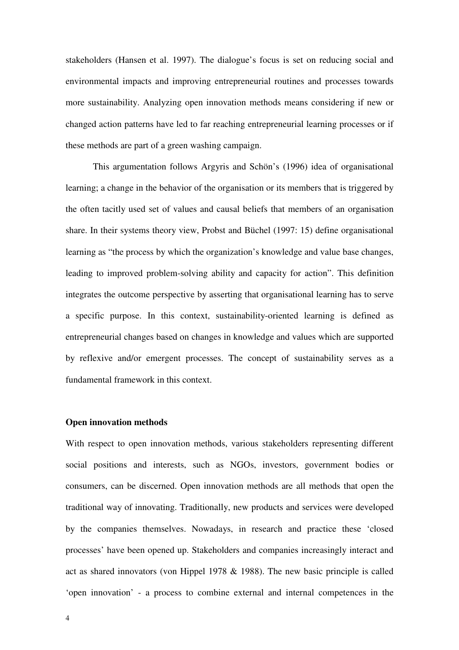stakeholders (Hansen et al. 1997). The dialogue's focus is set on reducing social and environmental impacts and improving entrepreneurial routines and processes towards more sustainability. Analyzing open innovation methods means considering if new or changed action patterns have led to far reaching entrepreneurial learning processes or if these methods are part of a green washing campaign.

This argumentation follows Argyris and Schön's (1996) idea of organisational learning; a change in the behavior of the organisation or its members that is triggered by the often tacitly used set of values and causal beliefs that members of an organisation share. In their systems theory view, Probst and Büchel (1997: 15) define organisational learning as "the process by which the organization's knowledge and value base changes, leading to improved problem-solving ability and capacity for action". This definition integrates the outcome perspective by asserting that organisational learning has to serve a specific purpose. In this context, sustainability-oriented learning is defined as entrepreneurial changes based on changes in knowledge and values which are supported by reflexive and/or emergent processes. The concept of sustainability serves as a fundamental framework in this context.

#### **Open innovation methods**

With respect to open innovation methods, various stakeholders representing different social positions and interests, such as NGOs, investors, government bodies or consumers, can be discerned. Open innovation methods are all methods that open the traditional way of innovating. Traditionally, new products and services were developed by the companies themselves. Nowadays, in research and practice these 'closed processes' have been opened up. Stakeholders and companies increasingly interact and act as shared innovators (von Hippel 1978 & 1988). The new basic principle is called 'open innovation' - a process to combine external and internal competences in the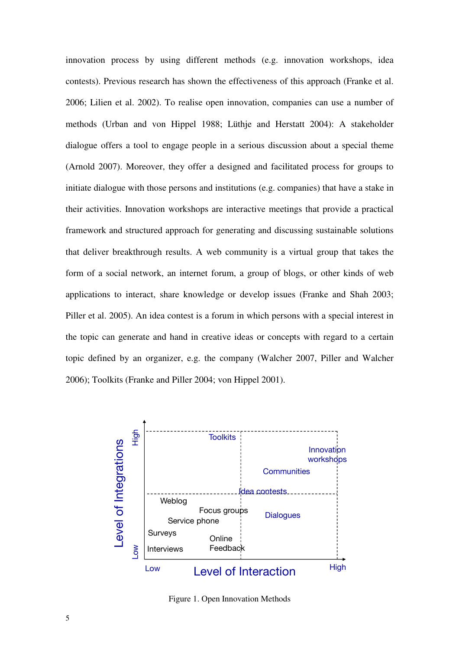innovation process by using different methods (e.g. innovation workshops, idea contests). Previous research has shown the effectiveness of this approach (Franke et al. 2006; Lilien et al. 2002). To realise open innovation, companies can use a number of methods (Urban and von Hippel 1988; Lüthje and Herstatt 2004): A stakeholder dialogue offers a tool to engage people in a serious discussion about a special theme (Arnold 2007). Moreover, they offer a designed and facilitated process for groups to initiate dialogue with those persons and institutions (e.g. companies) that have a stake in their activities. Innovation workshops are interactive meetings that provide a practical framework and structured approach for generating and discussing sustainable solutions that deliver breakthrough results. A web community is a virtual group that takes the form of a social network, an internet forum, a group of blogs, or other kinds of web applications to interact, share knowledge or develop issues (Franke and Shah 2003; Piller et al. 2005). An idea contest is a forum in which persons with a special interest in the topic can generate and hand in creative ideas or concepts with regard to a certain topic defined by an organizer, e.g. the company (Walcher 2007, Piller and Walcher 2006); Toolkits (Franke and Piller 2004; von Hippel 2001).



Figure 1. Open Innovation Methods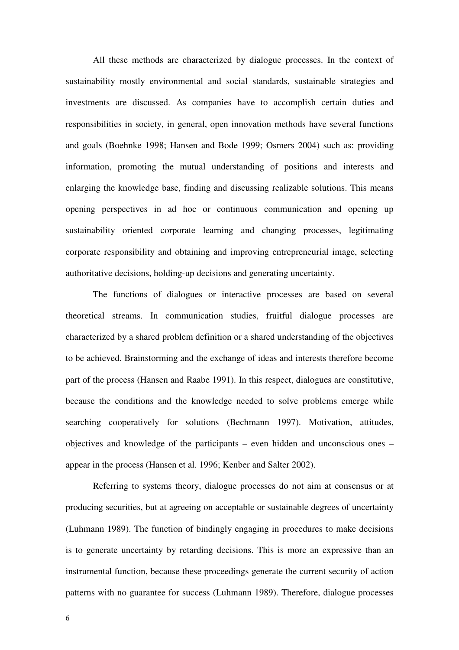All these methods are characterized by dialogue processes. In the context of sustainability mostly environmental and social standards, sustainable strategies and investments are discussed. As companies have to accomplish certain duties and responsibilities in society, in general, open innovation methods have several functions and goals (Boehnke 1998; Hansen and Bode 1999; Osmers 2004) such as: providing information, promoting the mutual understanding of positions and interests and enlarging the knowledge base, finding and discussing realizable solutions. This means opening perspectives in ad hoc or continuous communication and opening up sustainability oriented corporate learning and changing processes, legitimating corporate responsibility and obtaining and improving entrepreneurial image, selecting authoritative decisions, holding-up decisions and generating uncertainty.

The functions of dialogues or interactive processes are based on several theoretical streams. In communication studies, fruitful dialogue processes are characterized by a shared problem definition or a shared understanding of the objectives to be achieved. Brainstorming and the exchange of ideas and interests therefore become part of the process (Hansen and Raabe 1991). In this respect, dialogues are constitutive, because the conditions and the knowledge needed to solve problems emerge while searching cooperatively for solutions (Bechmann 1997). Motivation, attitudes, objectives and knowledge of the participants – even hidden and unconscious ones – appear in the process (Hansen et al. 1996; Kenber and Salter 2002).

Referring to systems theory, dialogue processes do not aim at consensus or at producing securities, but at agreeing on acceptable or sustainable degrees of uncertainty (Luhmann 1989). The function of bindingly engaging in procedures to make decisions is to generate uncertainty by retarding decisions. This is more an expressive than an instrumental function, because these proceedings generate the current security of action patterns with no guarantee for success (Luhmann 1989). Therefore, dialogue processes

6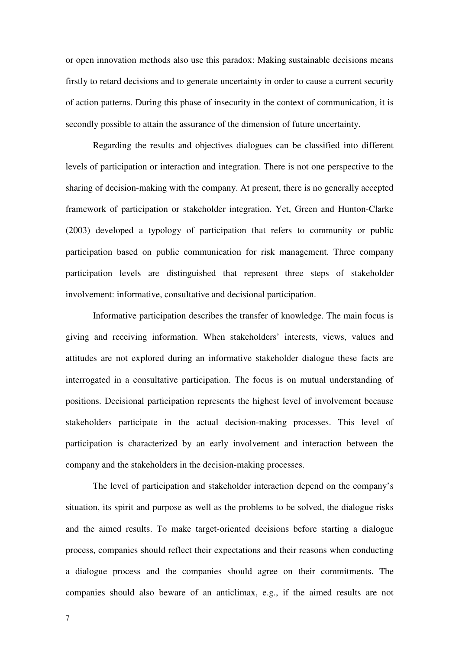or open innovation methods also use this paradox: Making sustainable decisions means firstly to retard decisions and to generate uncertainty in order to cause a current security of action patterns. During this phase of insecurity in the context of communication, it is secondly possible to attain the assurance of the dimension of future uncertainty.

Regarding the results and objectives dialogues can be classified into different levels of participation or interaction and integration. There is not one perspective to the sharing of decision-making with the company. At present, there is no generally accepted framework of participation or stakeholder integration. Yet, Green and Hunton-Clarke (2003) developed a typology of participation that refers to community or public participation based on public communication for risk management. Three company participation levels are distinguished that represent three steps of stakeholder involvement: informative, consultative and decisional participation.

Informative participation describes the transfer of knowledge. The main focus is giving and receiving information. When stakeholders' interests, views, values and attitudes are not explored during an informative stakeholder dialogue these facts are interrogated in a consultative participation. The focus is on mutual understanding of positions. Decisional participation represents the highest level of involvement because stakeholders participate in the actual decision-making processes. This level of participation is characterized by an early involvement and interaction between the company and the stakeholders in the decision-making processes.

The level of participation and stakeholder interaction depend on the company's situation, its spirit and purpose as well as the problems to be solved, the dialogue risks and the aimed results. To make target-oriented decisions before starting a dialogue process, companies should reflect their expectations and their reasons when conducting a dialogue process and the companies should agree on their commitments. The companies should also beware of an anticlimax, e.g., if the aimed results are not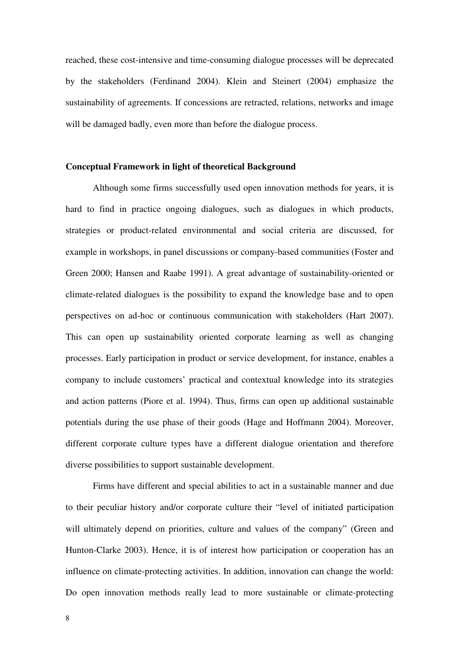reached, these cost-intensive and time-consuming dialogue processes will be deprecated by the stakeholders (Ferdinand 2004). Klein and Steinert (2004) emphasize the sustainability of agreements. If concessions are retracted, relations, networks and image will be damaged badly, even more than before the dialogue process.

#### **Conceptual Framework in light of theoretical Background**

Although some firms successfully used open innovation methods for years, it is hard to find in practice ongoing dialogues, such as dialogues in which products, strategies or product-related environmental and social criteria are discussed, for example in workshops, in panel discussions or company-based communities (Foster and Green 2000; Hansen and Raabe 1991). A great advantage of sustainability-oriented or climate-related dialogues is the possibility to expand the knowledge base and to open perspectives on ad-hoc or continuous communication with stakeholders (Hart 2007). This can open up sustainability oriented corporate learning as well as changing processes. Early participation in product or service development, for instance, enables a company to include customers' practical and contextual knowledge into its strategies and action patterns (Piore et al. 1994). Thus, firms can open up additional sustainable potentials during the use phase of their goods (Hage and Hoffmann 2004). Moreover, different corporate culture types have a different dialogue orientation and therefore diverse possibilities to support sustainable development.

Firms have different and special abilities to act in a sustainable manner and due to their peculiar history and/or corporate culture their "level of initiated participation will ultimately depend on priorities, culture and values of the company" (Green and Hunton-Clarke 2003). Hence, it is of interest how participation or cooperation has an influence on climate-protecting activities. In addition, innovation can change the world: Do open innovation methods really lead to more sustainable or climate-protecting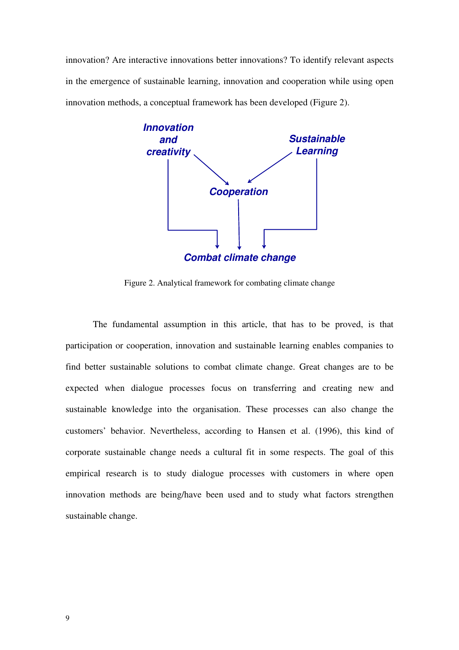innovation? Are interactive innovations better innovations? To identify relevant aspects in the emergence of sustainable learning, innovation and cooperation while using open innovation methods, a conceptual framework has been developed (Figure 2).



Figure 2. Analytical framework for combating climate change

The fundamental assumption in this article, that has to be proved, is that participation or cooperation, innovation and sustainable learning enables companies to find better sustainable solutions to combat climate change. Great changes are to be expected when dialogue processes focus on transferring and creating new and sustainable knowledge into the organisation. These processes can also change the customers' behavior. Nevertheless, according to Hansen et al. (1996), this kind of corporate sustainable change needs a cultural fit in some respects. The goal of this empirical research is to study dialogue processes with customers in where open innovation methods are being/have been used and to study what factors strengthen sustainable change.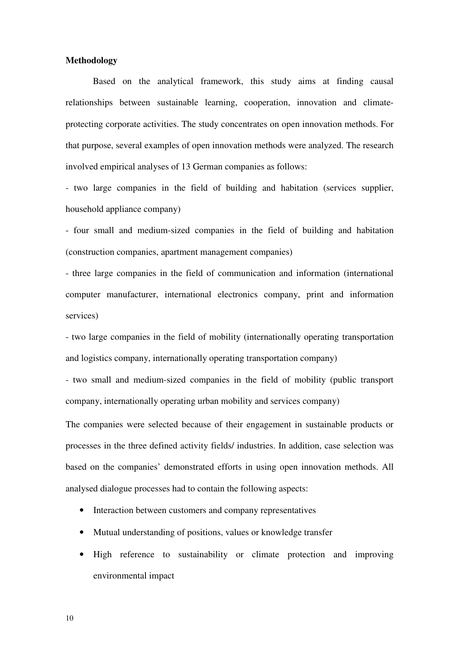## **Methodology**

Based on the analytical framework, this study aims at finding causal relationships between sustainable learning, cooperation, innovation and climateprotecting corporate activities. The study concentrates on open innovation methods. For that purpose, several examples of open innovation methods were analyzed. The research involved empirical analyses of 13 German companies as follows:

- two large companies in the field of building and habitation (services supplier, household appliance company)

- four small and medium-sized companies in the field of building and habitation (construction companies, apartment management companies)

- three large companies in the field of communication and information (international computer manufacturer, international electronics company, print and information services)

- two large companies in the field of mobility (internationally operating transportation and logistics company, internationally operating transportation company)

- two small and medium-sized companies in the field of mobility (public transport company, internationally operating urban mobility and services company)

The companies were selected because of their engagement in sustainable products or processes in the three defined activity fields/ industries. In addition, case selection was based on the companies' demonstrated efforts in using open innovation methods. All analysed dialogue processes had to contain the following aspects:

- Interaction between customers and company representatives
- Mutual understanding of positions, values or knowledge transfer
- High reference to sustainability or climate protection and improving environmental impact

10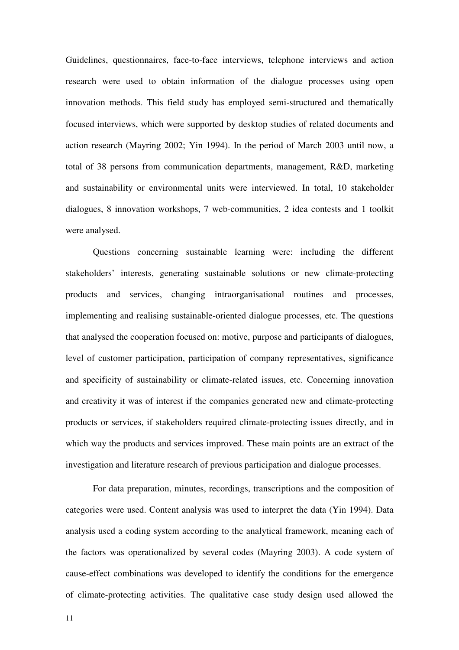Guidelines, questionnaires, face-to-face interviews, telephone interviews and action research were used to obtain information of the dialogue processes using open innovation methods. This field study has employed semi-structured and thematically focused interviews, which were supported by desktop studies of related documents and action research (Mayring 2002; Yin 1994). In the period of March 2003 until now, a total of 38 persons from communication departments, management, R&D, marketing and sustainability or environmental units were interviewed. In total, 10 stakeholder dialogues, 8 innovation workshops, 7 web-communities, 2 idea contests and 1 toolkit were analysed.

Questions concerning sustainable learning were: including the different stakeholders' interests, generating sustainable solutions or new climate-protecting products and services, changing intraorganisational routines and processes, implementing and realising sustainable-oriented dialogue processes, etc. The questions that analysed the cooperation focused on: motive, purpose and participants of dialogues, level of customer participation, participation of company representatives, significance and specificity of sustainability or climate-related issues, etc. Concerning innovation and creativity it was of interest if the companies generated new and climate-protecting products or services, if stakeholders required climate-protecting issues directly, and in which way the products and services improved. These main points are an extract of the investigation and literature research of previous participation and dialogue processes.

For data preparation, minutes, recordings, transcriptions and the composition of categories were used. Content analysis was used to interpret the data (Yin 1994). Data analysis used a coding system according to the analytical framework, meaning each of the factors was operationalized by several codes (Mayring 2003). A code system of cause-effect combinations was developed to identify the conditions for the emergence of climate-protecting activities. The qualitative case study design used allowed the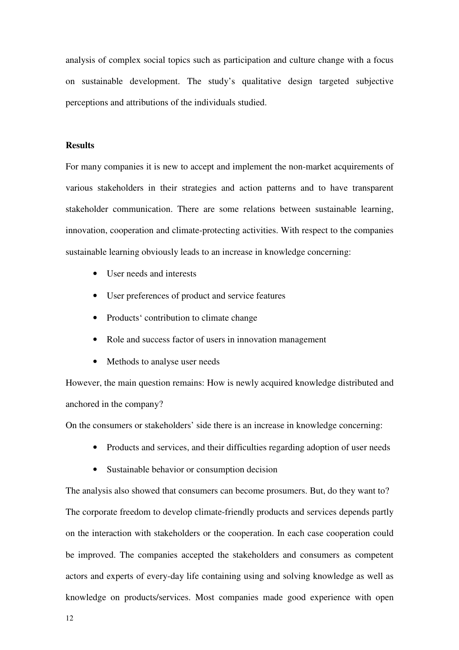analysis of complex social topics such as participation and culture change with a focus on sustainable development. The study's qualitative design targeted subjective perceptions and attributions of the individuals studied.

## **Results**

For many companies it is new to accept and implement the non-market acquirements of various stakeholders in their strategies and action patterns and to have transparent stakeholder communication. There are some relations between sustainable learning, innovation, cooperation and climate-protecting activities. With respect to the companies sustainable learning obviously leads to an increase in knowledge concerning:

- User needs and interests
- User preferences of product and service features
- Products' contribution to climate change
- Role and success factor of users in innovation management
- Methods to analyse user needs

However, the main question remains: How is newly acquired knowledge distributed and anchored in the company?

On the consumers or stakeholders' side there is an increase in knowledge concerning:

- Products and services, and their difficulties regarding adoption of user needs
- Sustainable behavior or consumption decision

The analysis also showed that consumers can become prosumers. But, do they want to? The corporate freedom to develop climate-friendly products and services depends partly on the interaction with stakeholders or the cooperation. In each case cooperation could be improved. The companies accepted the stakeholders and consumers as competent actors and experts of every-day life containing using and solving knowledge as well as knowledge on products/services. Most companies made good experience with open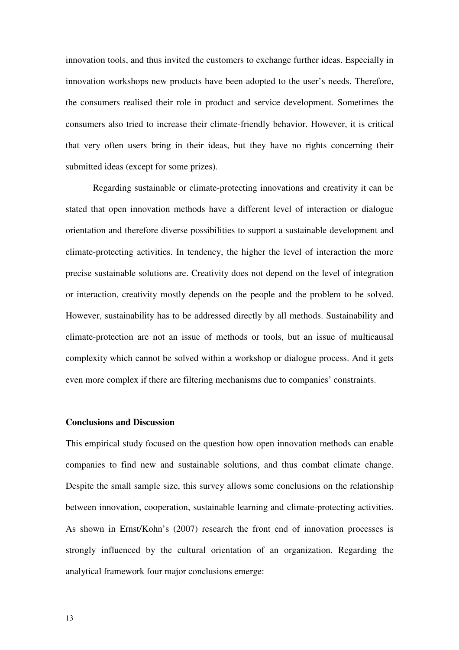innovation tools, and thus invited the customers to exchange further ideas. Especially in innovation workshops new products have been adopted to the user's needs. Therefore, the consumers realised their role in product and service development. Sometimes the consumers also tried to increase their climate-friendly behavior. However, it is critical that very often users bring in their ideas, but they have no rights concerning their submitted ideas (except for some prizes).

Regarding sustainable or climate-protecting innovations and creativity it can be stated that open innovation methods have a different level of interaction or dialogue orientation and therefore diverse possibilities to support a sustainable development and climate-protecting activities. In tendency, the higher the level of interaction the more precise sustainable solutions are. Creativity does not depend on the level of integration or interaction, creativity mostly depends on the people and the problem to be solved. However, sustainability has to be addressed directly by all methods. Sustainability and climate-protection are not an issue of methods or tools, but an issue of multicausal complexity which cannot be solved within a workshop or dialogue process. And it gets even more complex if there are filtering mechanisms due to companies' constraints.

# **Conclusions and Discussion**

This empirical study focused on the question how open innovation methods can enable companies to find new and sustainable solutions, and thus combat climate change. Despite the small sample size, this survey allows some conclusions on the relationship between innovation, cooperation, sustainable learning and climate-protecting activities. As shown in Ernst/Kohn's (2007) research the front end of innovation processes is strongly influenced by the cultural orientation of an organization. Regarding the analytical framework four major conclusions emerge: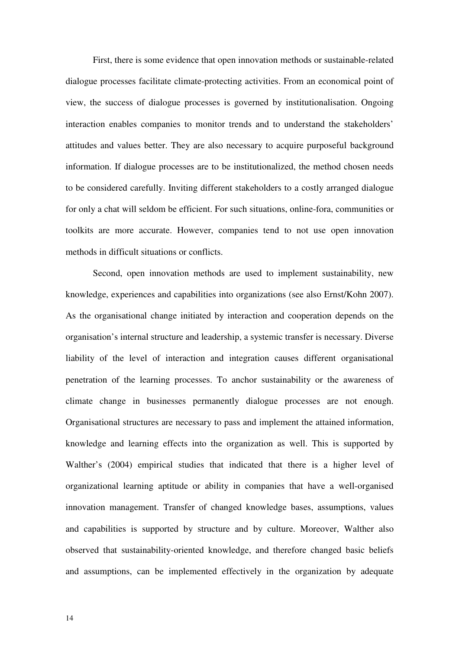First, there is some evidence that open innovation methods or sustainable-related dialogue processes facilitate climate-protecting activities. From an economical point of view, the success of dialogue processes is governed by institutionalisation. Ongoing interaction enables companies to monitor trends and to understand the stakeholders' attitudes and values better. They are also necessary to acquire purposeful background information. If dialogue processes are to be institutionalized, the method chosen needs to be considered carefully. Inviting different stakeholders to a costly arranged dialogue for only a chat will seldom be efficient. For such situations, online-fora, communities or toolkits are more accurate. However, companies tend to not use open innovation methods in difficult situations or conflicts.

Second, open innovation methods are used to implement sustainability, new knowledge, experiences and capabilities into organizations (see also Ernst/Kohn 2007). As the organisational change initiated by interaction and cooperation depends on the organisation's internal structure and leadership, a systemic transfer is necessary. Diverse liability of the level of interaction and integration causes different organisational penetration of the learning processes. To anchor sustainability or the awareness of climate change in businesses permanently dialogue processes are not enough. Organisational structures are necessary to pass and implement the attained information, knowledge and learning effects into the organization as well. This is supported by Walther's (2004) empirical studies that indicated that there is a higher level of organizational learning aptitude or ability in companies that have a well-organised innovation management. Transfer of changed knowledge bases, assumptions, values and capabilities is supported by structure and by culture. Moreover, Walther also observed that sustainability-oriented knowledge, and therefore changed basic beliefs and assumptions, can be implemented effectively in the organization by adequate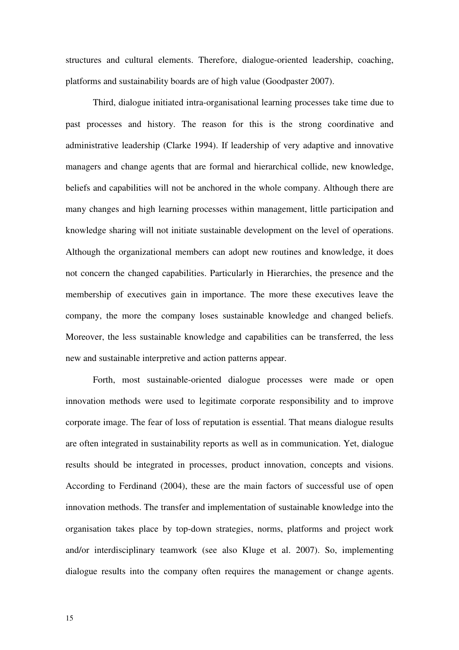structures and cultural elements. Therefore, dialogue-oriented leadership, coaching, platforms and sustainability boards are of high value (Goodpaster 2007).

Third, dialogue initiated intra-organisational learning processes take time due to past processes and history. The reason for this is the strong coordinative and administrative leadership (Clarke 1994). If leadership of very adaptive and innovative managers and change agents that are formal and hierarchical collide, new knowledge, beliefs and capabilities will not be anchored in the whole company. Although there are many changes and high learning processes within management, little participation and knowledge sharing will not initiate sustainable development on the level of operations. Although the organizational members can adopt new routines and knowledge, it does not concern the changed capabilities. Particularly in Hierarchies, the presence and the membership of executives gain in importance. The more these executives leave the company, the more the company loses sustainable knowledge and changed beliefs. Moreover, the less sustainable knowledge and capabilities can be transferred, the less new and sustainable interpretive and action patterns appear.

Forth, most sustainable-oriented dialogue processes were made or open innovation methods were used to legitimate corporate responsibility and to improve corporate image. The fear of loss of reputation is essential. That means dialogue results are often integrated in sustainability reports as well as in communication. Yet, dialogue results should be integrated in processes, product innovation, concepts and visions. According to Ferdinand (2004), these are the main factors of successful use of open innovation methods. The transfer and implementation of sustainable knowledge into the organisation takes place by top-down strategies, norms, platforms and project work and/or interdisciplinary teamwork (see also Kluge et al. 2007). So, implementing dialogue results into the company often requires the management or change agents.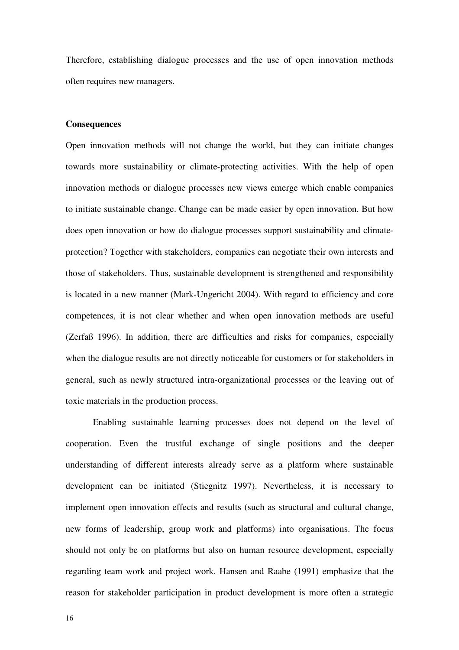Therefore, establishing dialogue processes and the use of open innovation methods often requires new managers.

## **Consequences**

Open innovation methods will not change the world, but they can initiate changes towards more sustainability or climate-protecting activities. With the help of open innovation methods or dialogue processes new views emerge which enable companies to initiate sustainable change. Change can be made easier by open innovation. But how does open innovation or how do dialogue processes support sustainability and climateprotection? Together with stakeholders, companies can negotiate their own interests and those of stakeholders. Thus, sustainable development is strengthened and responsibility is located in a new manner (Mark-Ungericht 2004). With regard to efficiency and core competences, it is not clear whether and when open innovation methods are useful (Zerfaß 1996). In addition, there are difficulties and risks for companies, especially when the dialogue results are not directly noticeable for customers or for stakeholders in general, such as newly structured intra-organizational processes or the leaving out of toxic materials in the production process.

Enabling sustainable learning processes does not depend on the level of cooperation. Even the trustful exchange of single positions and the deeper understanding of different interests already serve as a platform where sustainable development can be initiated (Stiegnitz 1997). Nevertheless, it is necessary to implement open innovation effects and results (such as structural and cultural change, new forms of leadership, group work and platforms) into organisations. The focus should not only be on platforms but also on human resource development, especially regarding team work and project work. Hansen and Raabe (1991) emphasize that the reason for stakeholder participation in product development is more often a strategic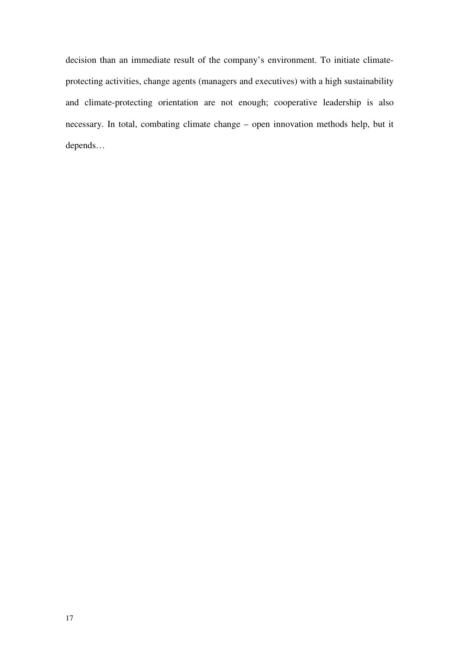decision than an immediate result of the company's environment. To initiate climateprotecting activities, change agents (managers and executives) with a high sustainability and climate-protecting orientation are not enough; cooperative leadership is also necessary. In total, combating climate change – open innovation methods help, but it depends…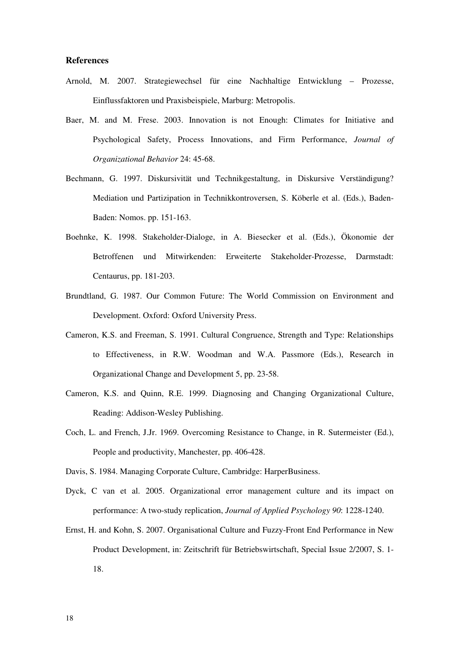### **References**

- Arnold, M. 2007. Strategiewechsel für eine Nachhaltige Entwicklung Prozesse, Einflussfaktoren und Praxisbeispiele, Marburg: Metropolis.
- Baer, M. and M. Frese. 2003. Innovation is not Enough: Climates for Initiative and Psychological Safety, Process Innovations, and Firm Performance, *Journal of Organizational Behavior* 24: 45-68.
- Bechmann, G. 1997. Diskursivität und Technikgestaltung, in Diskursive Verständigung? Mediation und Partizipation in Technikkontroversen, S. Köberle et al. (Eds.), Baden-Baden: Nomos. pp. 151-163.
- Boehnke, K. 1998. Stakeholder-Dialoge, in A. Biesecker et al. (Eds.), Ökonomie der Betroffenen und Mitwirkenden: Erweiterte Stakeholder-Prozesse, Darmstadt: Centaurus, pp. 181-203.
- Brundtland, G. 1987. Our Common Future: The World Commission on Environment and Development. Oxford: Oxford University Press.
- Cameron, K.S. and Freeman, S. 1991. Cultural Congruence, Strength and Type: Relationships to Effectiveness, in R.W. Woodman and W.A. Passmore (Eds.), Research in Organizational Change and Development 5, pp. 23-58.
- Cameron, K.S. and Quinn, R.E. 1999. Diagnosing and Changing Organizational Culture, Reading: Addison-Wesley Publishing.
- Coch, L. and French, J.Jr. 1969. Overcoming Resistance to Change, in R. Sutermeister (Ed.), People and productivity, Manchester, pp. 406-428.
- Davis, S. 1984. Managing Corporate Culture, Cambridge: HarperBusiness.
- Dyck, C van et al. 2005. Organizational error management culture and its impact on performance: A two-study replication, *Journal of Applied Psychology 90*: 1228-1240.
- Ernst, H. and Kohn, S. 2007. Organisational Culture and Fuzzy-Front End Performance in New Product Development, in: Zeitschrift für Betriebswirtschaft, Special Issue 2/2007, S. 1- 18.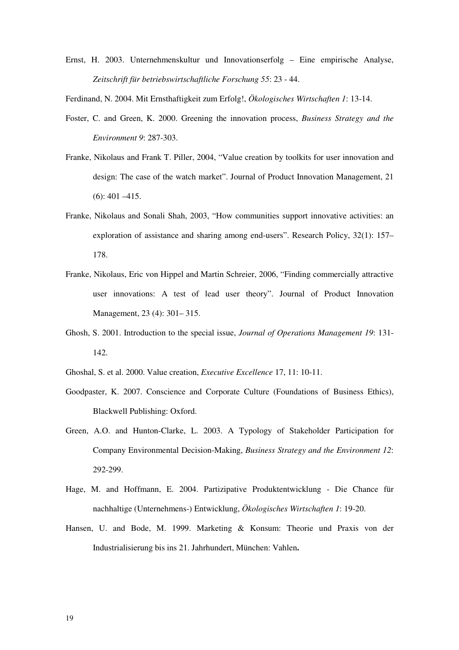Ernst, H. 2003. Unternehmenskultur und Innovationserfolg – Eine empirische Analyse, *Zeitschrift für betriebswirtschaftliche Forschung 55*: 23 - 44.

Ferdinand, N. 2004. Mit Ernsthaftigkeit zum Erfolg!, *Ökologisches Wirtschaften 1*: 13-14.

- Foster, C. and Green, K. 2000. Greening the innovation process, *Business Strategy and the Environment 9*: 287-303.
- Franke, Nikolaus and Frank T. Piller, 2004, "Value creation by toolkits for user innovation and design: The case of the watch market". Journal of Product Innovation Management, 21 (6): 401 –415.
- Franke, Nikolaus and Sonali Shah, 2003, "How communities support innovative activities: an exploration of assistance and sharing among end-users". Research Policy, 32(1): 157– 178.
- Franke, Nikolaus, Eric von Hippel and Martin Schreier, 2006, "Finding commercially attractive user innovations: A test of lead user theory". Journal of Product Innovation Management, 23 (4): 301– 315.
- Ghosh, S. 2001. Introduction to the special issue, *Journal of Operations Management 19*: 131- 142.
- Ghoshal, S. et al. 2000. Value creation, *Executive Excellence* 17, 11: 10-11.
- Goodpaster, K. 2007. Conscience and Corporate Culture (Foundations of Business Ethics), Blackwell Publishing: Oxford.
- Green, A.O. and Hunton-Clarke, L. 2003. A Typology of Stakeholder Participation for Company Environmental Decision-Making, *Business Strategy and the Environment 12*: 292-299.
- Hage, M. and Hoffmann, E. 2004. Partizipative Produktentwicklung Die Chance für nachhaltige (Unternehmens-) Entwicklung, *Ökologisches Wirtschaften 1*: 19-20.
- Hansen, U. and Bode, M. 1999. Marketing & Konsum: Theorie und Praxis von der Industrialisierung bis ins 21. Jahrhundert, München: Vahlen**.**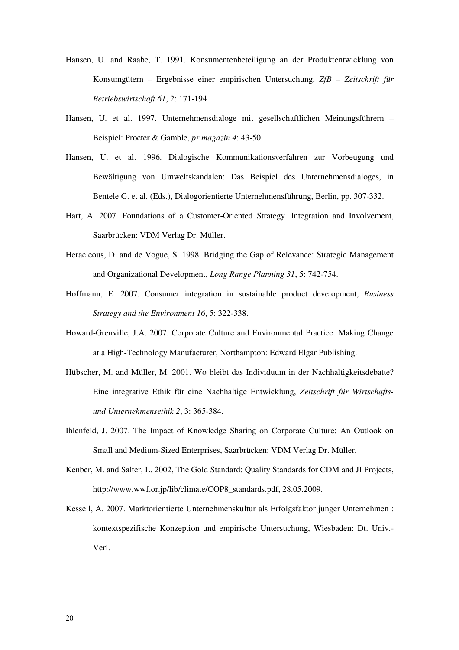- Hansen, U. and Raabe, T. 1991. Konsumentenbeteiligung an der Produktentwicklung von Konsumgütern – Ergebnisse einer empirischen Untersuchung, *ZfB – Zeitschrift für Betriebswirtschaft 61*, 2: 171-194.
- Hansen, U. et al. 1997. Unternehmensdialoge mit gesellschaftlichen Meinungsführern Beispiel: Procter & Gamble, *pr magazin 4*: 43-50.
- Hansen, U. et al. 1996. Dialogische Kommunikationsverfahren zur Vorbeugung und Bewältigung von Umweltskandalen: Das Beispiel des Unternehmensdialoges, in Bentele G. et al. (Eds.), Dialogorientierte Unternehmensführung, Berlin, pp. 307-332.
- Hart, A. 2007. Foundations of a Customer-Oriented Strategy. Integration and Involvement, Saarbrücken: VDM Verlag Dr. Müller.
- Heracleous, D. and de Vogue, S. 1998. Bridging the Gap of Relevance: Strategic Management and Organizational Development, *Long Range Planning 31*, 5: 742-754.
- Hoffmann, E. 2007. Consumer integration in sustainable product development, *Business Strategy and the Environment 16*, 5: 322-338.
- Howard-Grenville, J.A. 2007. Corporate Culture and Environmental Practice: Making Change at a High-Technology Manufacturer, Northampton: Edward Elgar Publishing.
- Hübscher, M. and Müller, M. 2001. Wo bleibt das Individuum in der Nachhaltigkeitsdebatte? Eine integrative Ethik für eine Nachhaltige Entwicklung, *Zeitschrift für Wirtschaftsund Unternehmensethik 2*, 3: 365-384.
- Ihlenfeld, J. 2007. The Impact of Knowledge Sharing on Corporate Culture: An Outlook on Small and Medium-Sized Enterprises, Saarbrücken: VDM Verlag Dr. Müller.
- Kenber, M. and Salter, L. 2002, The Gold Standard: Quality Standards for CDM and JI Projects, http://www.wwf.or.jp/lib/climate/COP8\_standards.pdf, 28.05.2009.
- Kessell, A. 2007. Marktorientierte Unternehmenskultur als Erfolgsfaktor junger Unternehmen : kontextspezifische Konzeption und empirische Untersuchung, Wiesbaden: Dt. Univ.- Verl.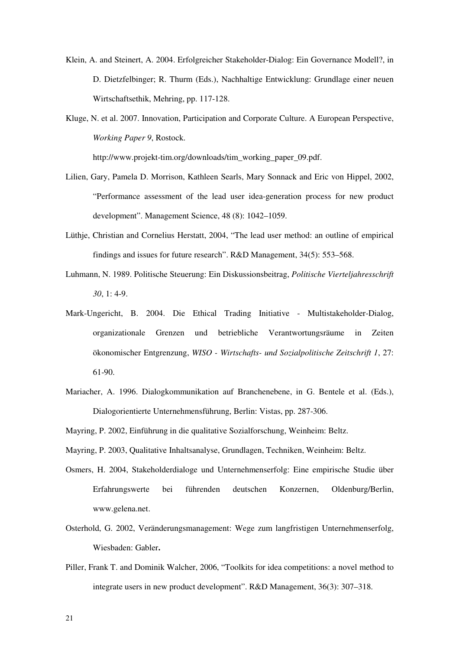- Klein, A. and Steinert, A. 2004. Erfolgreicher Stakeholder-Dialog: Ein Governance Modell?, in D. Dietzfelbinger; R. Thurm (Eds.), Nachhaltige Entwicklung: Grundlage einer neuen Wirtschaftsethik, Mehring, pp. 117-128.
- Kluge, N. et al. 2007. Innovation, Participation and Corporate Culture. A European Perspective, *Working Paper 9*, Rostock.

http://www.projekt-tim.org/downloads/tim\_working\_paper\_09.pdf.

- Lilien, Gary, Pamela D. Morrison, Kathleen Searls, Mary Sonnack and Eric von Hippel, 2002, "Performance assessment of the lead user idea-generation process for new product development". Management Science, 48 (8): 1042–1059.
- Lüthje, Christian and Cornelius Herstatt, 2004, "The lead user method: an outline of empirical findings and issues for future research". R&D Management, 34(5): 553–568.
- Luhmann, N. 1989. Politische Steuerung: Ein Diskussionsbeitrag, *Politische Vierteljahresschrift 30*, 1: 4-9.
- Mark-Ungericht, B. 2004. Die Ethical Trading Initiative Multistakeholder-Dialog, organizationale Grenzen und betriebliche Verantwortungsräume in Zeiten ökonomischer Entgrenzung, *WISO - Wirtschafts- und Sozialpolitische Zeitschrift 1*, 27: 61-90.
- Mariacher, A. 1996. Dialogkommunikation auf Branchenebene, in G. Bentele et al. (Eds.), Dialogorientierte Unternehmensführung, Berlin: Vistas, pp. 287-306.
- Mayring, P. 2002, Einführung in die qualitative Sozialforschung, Weinheim: Beltz.
- Mayring, P. 2003, Qualitative Inhaltsanalyse, Grundlagen, Techniken, Weinheim: Beltz.
- Osmers, H. 2004, Stakeholderdialoge und Unternehmenserfolg: Eine empirische Studie über Erfahrungswerte bei führenden deutschen Konzernen, Oldenburg/Berlin, www.gelena.net.
- Osterhold, G. 2002, Veränderungsmanagement: Wege zum langfristigen Unternehmenserfolg, Wiesbaden: Gabler**.**
- Piller, Frank T. and Dominik Walcher, 2006, "Toolkits for idea competitions: a novel method to integrate users in new product development". R&D Management, 36(3): 307–318.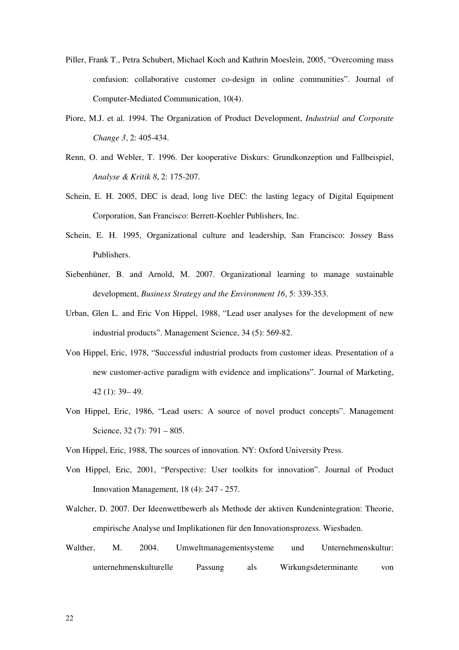- Piller, Frank T., Petra Schubert, Michael Koch and Kathrin Moeslein, 2005, "Overcoming mass confusion: collaborative customer co-design in online communities". Journal of Computer-Mediated Communication, 10(4).
- Piore, M.J. et al. 1994. The Organization of Product Development, *Industrial and Corporate Change 3*, 2: 405-434.
- Renn, O. and Webler, T. 1996. Der kooperative Diskurs: Grundkonzeption und Fallbeispiel, *Analyse & Kritik 8*, 2: 175-207.
- Schein, E. H. 2005, DEC is dead, long live DEC: the lasting legacy of Digital Equipment Corporation, San Francisco: Berrett-Koehler Publishers, Inc.
- Schein, E. H. 1995, Organizational culture and leadership, San Francisco: Jossey Bass Publishers.
- Siebenhüner, B. and Arnold, M. 2007. Organizational learning to manage sustainable development, *Business Strategy and the Environment 16*, 5: 339-353.
- Urban, Glen L. and Eric Von Hippel, 1988, "Lead user analyses for the development of new industrial products". Management Science, 34 (5): 569-82.
- Von Hippel, Eric, 1978, "Successful industrial products from customer ideas. Presentation of a new customer-active paradigm with evidence and implications". Journal of Marketing, 42 (1): 39– 49.
- Von Hippel, Eric, 1986, "Lead users: A source of novel product concepts". Management Science, 32 (7): 791 – 805.
- Von Hippel, Eric, 1988, The sources of innovation. NY: Oxford University Press.
- Von Hippel, Eric, 2001, "Perspective: User toolkits for innovation". Journal of Product Innovation Management, 18 (4): 247 - 257.
- Walcher, D. 2007. Der Ideenwettbewerb als Methode der aktiven Kundenintegration: Theorie, empirische Analyse und Implikationen für den Innovationsprozess. Wiesbaden.
- Walther, M. 2004. Umweltmanagementsysteme und Unternehmenskultur: unternehmenskulturelle Passung als Wirkungsdeterminante von